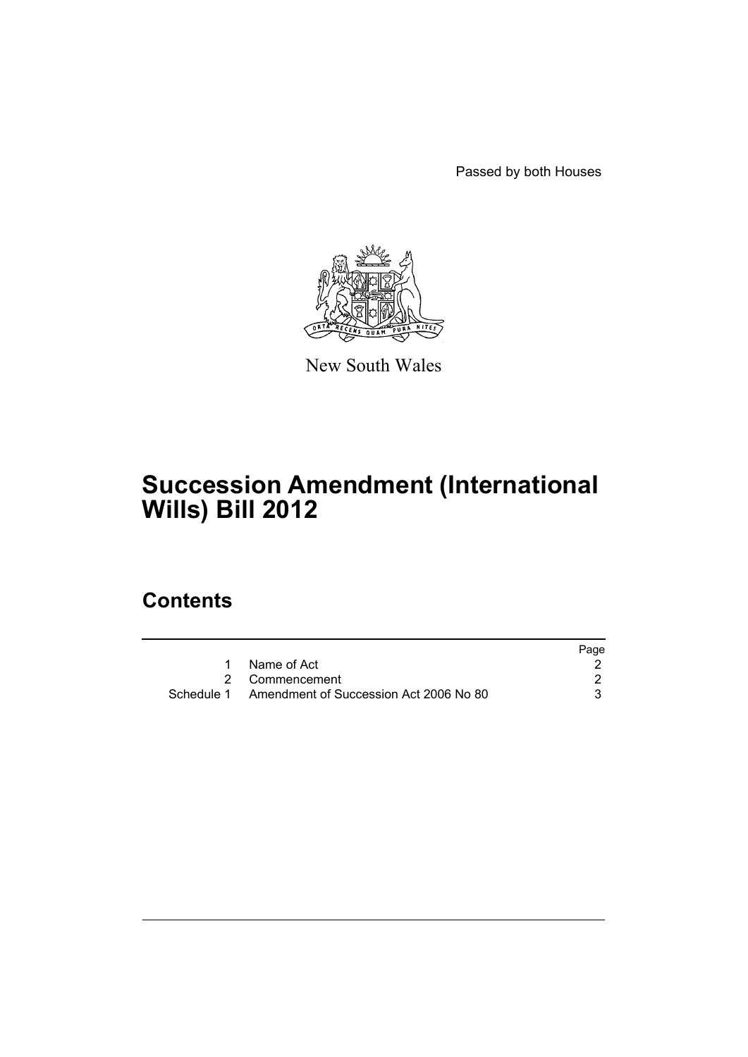Passed by both Houses



New South Wales

# **Succession Amendment (International Wills) Bill 2012**

# **Contents**

|                                                   | Page |
|---------------------------------------------------|------|
| Name of Act                                       |      |
| 2 Commencement                                    |      |
| Schedule 1 Amendment of Succession Act 2006 No 80 |      |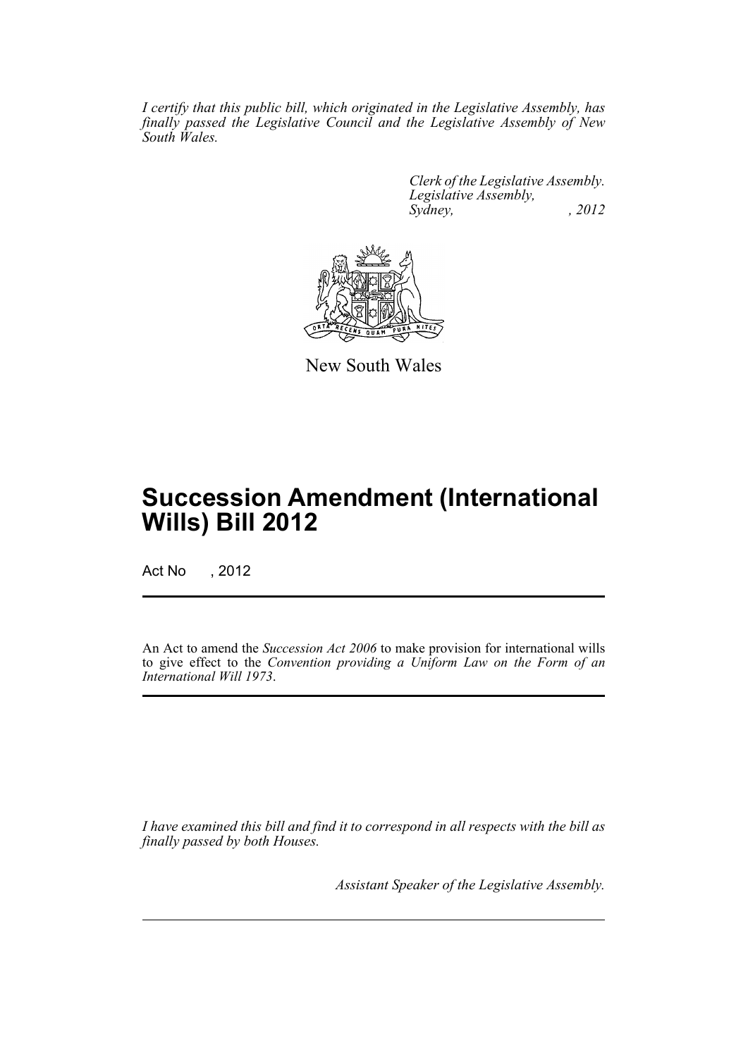*I certify that this public bill, which originated in the Legislative Assembly, has finally passed the Legislative Council and the Legislative Assembly of New South Wales.*

> *Clerk of the Legislative Assembly. Legislative Assembly, Sydney, , 2012*



New South Wales

# **Succession Amendment (International Wills) Bill 2012**

Act No , 2012

An Act to amend the *Succession Act 2006* to make provision for international wills to give effect to the *Convention providing a Uniform Law on the Form of an International Will 1973*.

*I have examined this bill and find it to correspond in all respects with the bill as finally passed by both Houses.*

*Assistant Speaker of the Legislative Assembly.*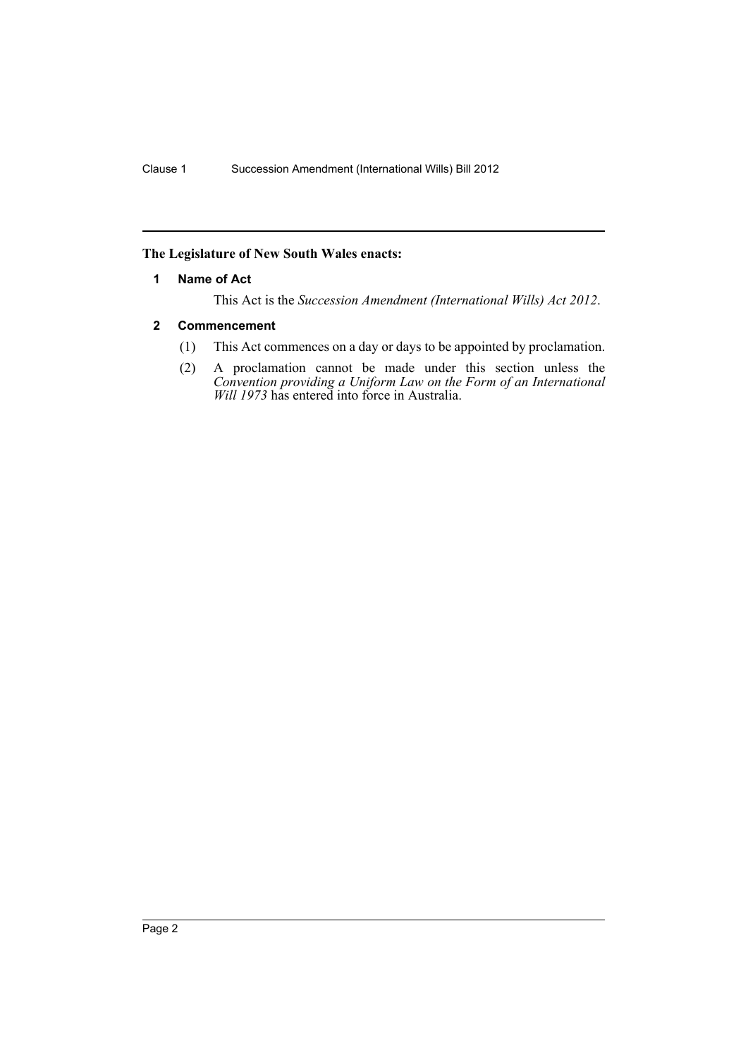# <span id="page-2-0"></span>**The Legislature of New South Wales enacts:**

### **1 Name of Act**

This Act is the *Succession Amendment (International Wills) Act 2012*.

### <span id="page-2-1"></span>**2 Commencement**

- (1) This Act commences on a day or days to be appointed by proclamation.
- (2) A proclamation cannot be made under this section unless the *Convention providing a Uniform Law on the Form of an International Will 1973* has entered into force in Australia.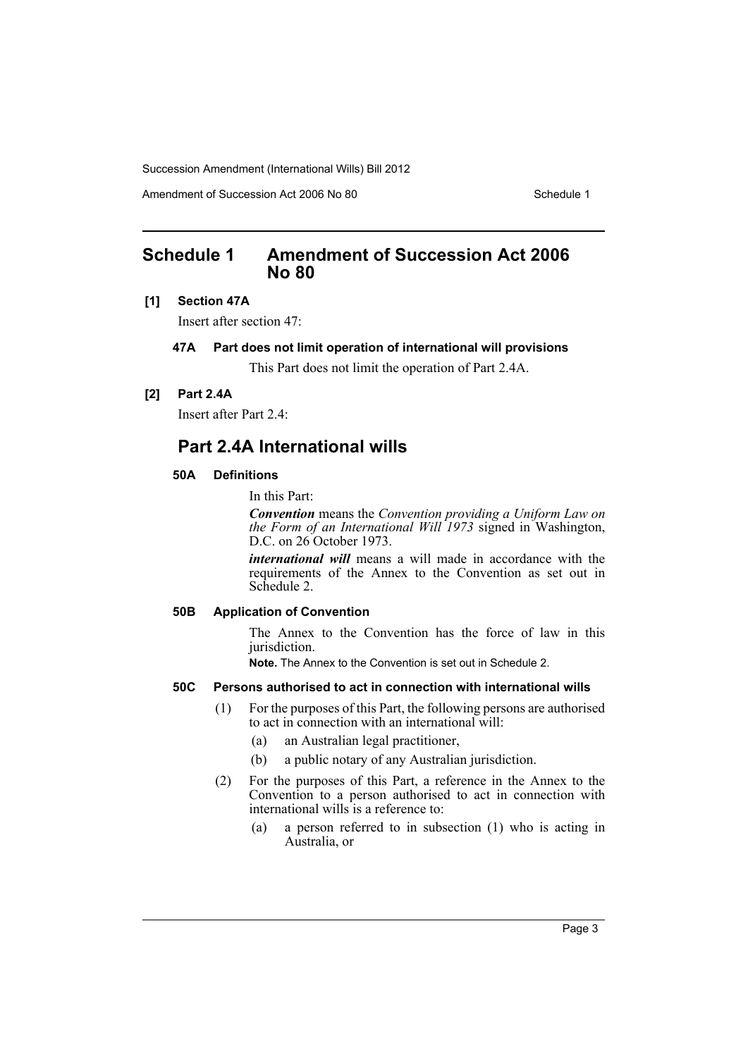Amendment of Succession Act 2006 No 80 Schedule 1

# <span id="page-3-0"></span>**Schedule 1 Amendment of Succession Act 2006 No 80**

#### **[1] Section 47A**

Insert after section 47:

## **47A Part does not limit operation of international will provisions**

This Part does not limit the operation of Part 2.4A.

## **[2] Part 2.4A**

Insert after Part 2.4:

# **Part 2.4A International wills**

#### **50A Definitions**

In this Part:

*Convention* means the *Convention providing a Uniform Law on the Form of an International Will 1973* signed in Washington, D.C. on 26 October 1973.

*international will* means a will made in accordance with the requirements of the Annex to the Convention as set out in Schedule 2.

# **50B Application of Convention**

The Annex to the Convention has the force of law in this jurisdiction.

**Note.** The Annex to the Convention is set out in Schedule 2.

#### **50C Persons authorised to act in connection with international wills**

- (1) For the purposes of this Part, the following persons are authorised to act in connection with an international will:
	- (a) an Australian legal practitioner,
	- (b) a public notary of any Australian jurisdiction.
- (2) For the purposes of this Part, a reference in the Annex to the Convention to a person authorised to act in connection with international wills is a reference to:
	- (a) a person referred to in subsection (1) who is acting in Australia, or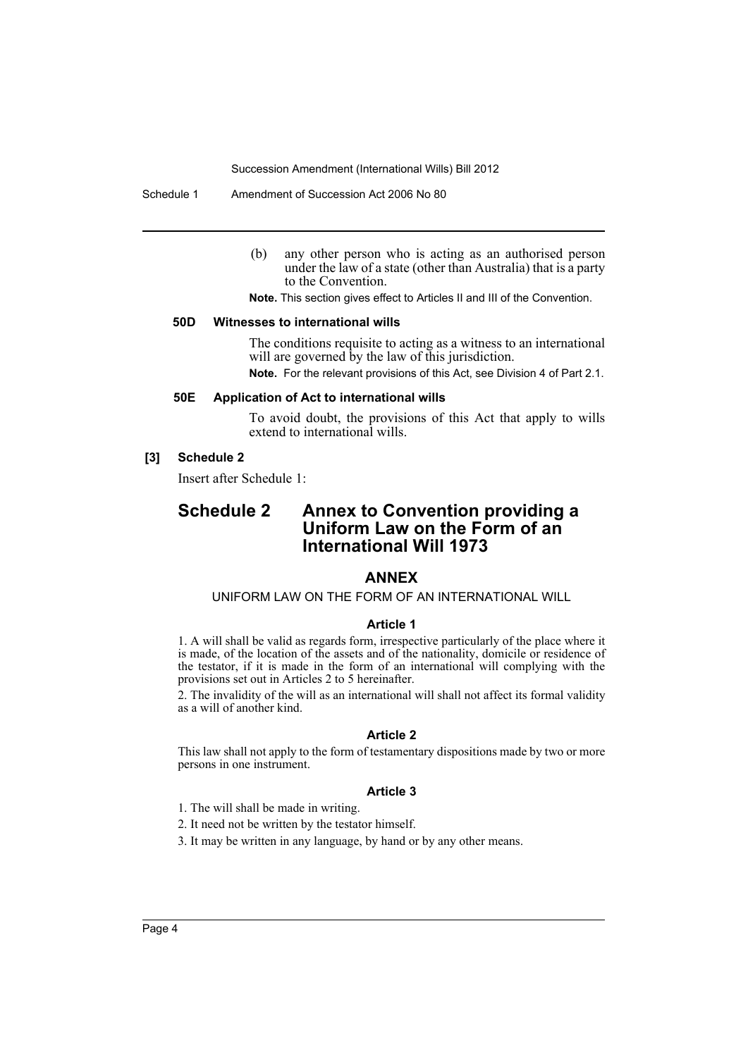Schedule 1 Amendment of Succession Act 2006 No 80

(b) any other person who is acting as an authorised person under the law of a state (other than Australia) that is a party to the Convention.

**Note.** This section gives effect to Articles II and III of the Convention.

#### **50D Witnesses to international wills**

The conditions requisite to acting as a witness to an international will are governed by the law of this jurisdiction. **Note.** For the relevant provisions of this Act, see Division 4 of Part 2.1.

#### **50E Application of Act to international wills**

To avoid doubt, the provisions of this Act that apply to wills extend to international wills.

#### **[3] Schedule 2**

Insert after Schedule 1:

# **Schedule 2 Annex to Convention providing a Uniform Law on the Form of an International Will 1973**

# **ANNEX**

#### UNIFORM LAW ON THE FORM OF AN INTERNATIONAL WILL

#### **Article 1**

1. A will shall be valid as regards form, irrespective particularly of the place where it is made, of the location of the assets and of the nationality, domicile or residence of the testator, if it is made in the form of an international will complying with the provisions set out in Articles 2 to 5 hereinafter.

2. The invalidity of the will as an international will shall not affect its formal validity as a will of another kind.

#### **Article 2**

This law shall not apply to the form of testamentary dispositions made by two or more persons in one instrument.

#### **Article 3**

- 1. The will shall be made in writing.
- 2. It need not be written by the testator himself.
- 3. It may be written in any language, by hand or by any other means.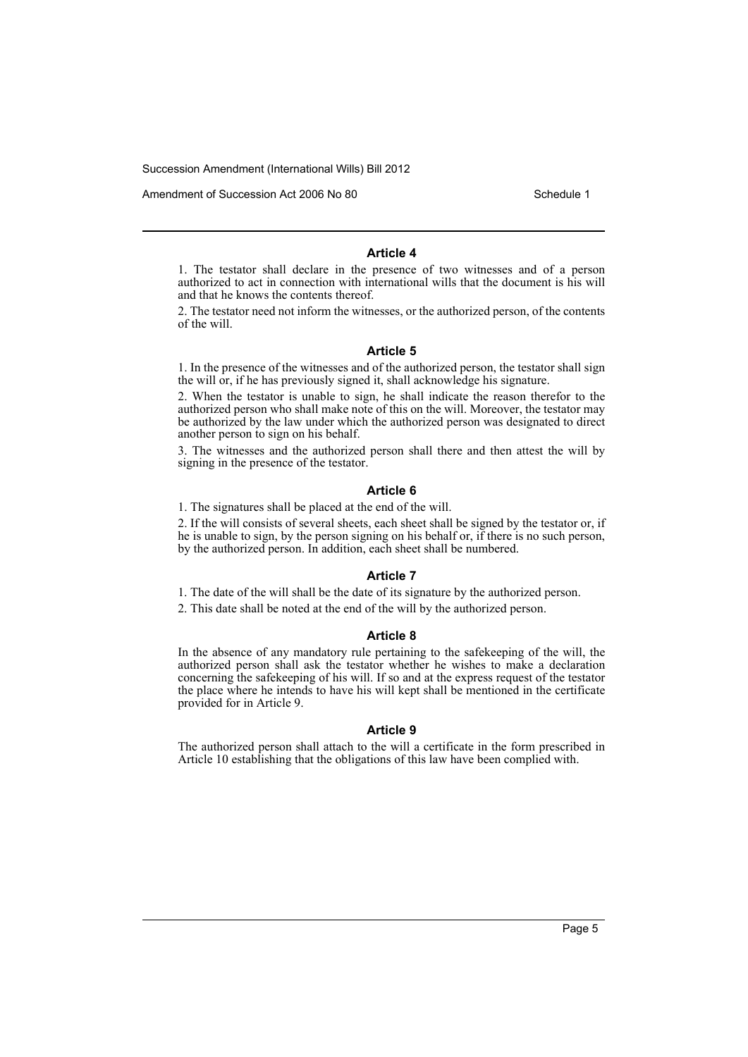Amendment of Succession Act 2006 No 80 Schedule 1

#### **Article 4**

1. The testator shall declare in the presence of two witnesses and of a person authorized to act in connection with international wills that the document is his will and that he knows the contents thereof.

2. The testator need not inform the witnesses, or the authorized person, of the contents of the will.

#### **Article 5**

1. In the presence of the witnesses and of the authorized person, the testator shall sign the will or, if he has previously signed it, shall acknowledge his signature.

2. When the testator is unable to sign, he shall indicate the reason therefor to the authorized person who shall make note of this on the will. Moreover, the testator may be authorized by the law under which the authorized person was designated to direct another person to sign on his behalf.

3. The witnesses and the authorized person shall there and then attest the will by signing in the presence of the testator.

#### **Article 6**

1. The signatures shall be placed at the end of the will.

2. If the will consists of several sheets, each sheet shall be signed by the testator or, if he is unable to sign, by the person signing on his behalf or, if there is no such person, by the authorized person. In addition, each sheet shall be numbered.

#### **Article 7**

1. The date of the will shall be the date of its signature by the authorized person.

2. This date shall be noted at the end of the will by the authorized person.

#### **Article 8**

In the absence of any mandatory rule pertaining to the safekeeping of the will, the authorized person shall ask the testator whether he wishes to make a declaration concerning the safekeeping of his will. If so and at the express request of the testator the place where he intends to have his will kept shall be mentioned in the certificate provided for in Article 9.

#### **Article 9**

The authorized person shall attach to the will a certificate in the form prescribed in Article 10 establishing that the obligations of this law have been complied with.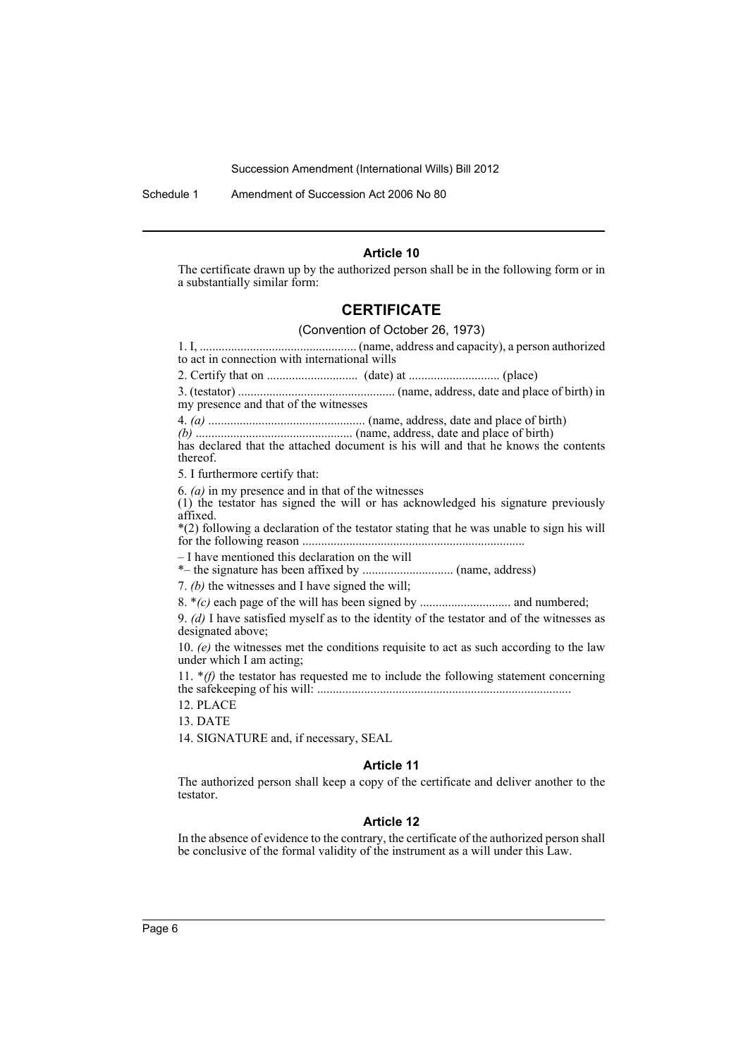Schedule 1 Amendment of Succession Act 2006 No 80

#### **Article 10**

The certificate drawn up by the authorized person shall be in the following form or in a substantially similar form:

# **CERTIFICATE**

#### (Convention of October 26, 1973)

1. I, .................................................. (name, address and capacity), a person authorized to act in connection with international wills

2. Certify that on ............................. (date) at ............................. (place)

3. (testator) .................................................. (name, address, date and place of birth) in my presence and that of the witnesses

4. *(a)* .................................................. (name, address, date and place of birth)

*(b)* .................................................. (name, address, date and place of birth)

has declared that the attached document is his will and that he knows the contents thereof.

5. I furthermore certify that:

6. *(a)* in my presence and in that of the witnesses

(1) the testator has signed the will or has acknowledged his signature previously affixed.

\*(2) following a declaration of the testator stating that he was unable to sign his will for the following reason .......................................................................

– I have mentioned this declaration on the will

\*– the signature has been affixed by ............................. (name, address)

7. *(b)* the witnesses and I have signed the will;

8. \**(c)* each page of the will has been signed by ............................. and numbered;

9. *(d)* I have satisfied myself as to the identity of the testator and of the witnesses as designated above;

10. *(e)* the witnesses met the conditions requisite to act as such according to the law under which I am acting;

11. \**(f)* the testator has requested me to include the following statement concerning the safekeeping of his will: .................................................................................

12. PLACE

13. DATE

14. SIGNATURE and, if necessary, SEAL

#### **Article 11**

The authorized person shall keep a copy of the certificate and deliver another to the testator.

#### **Article 12**

In the absence of evidence to the contrary, the certificate of the authorized person shall be conclusive of the formal validity of the instrument as a will under this Law.